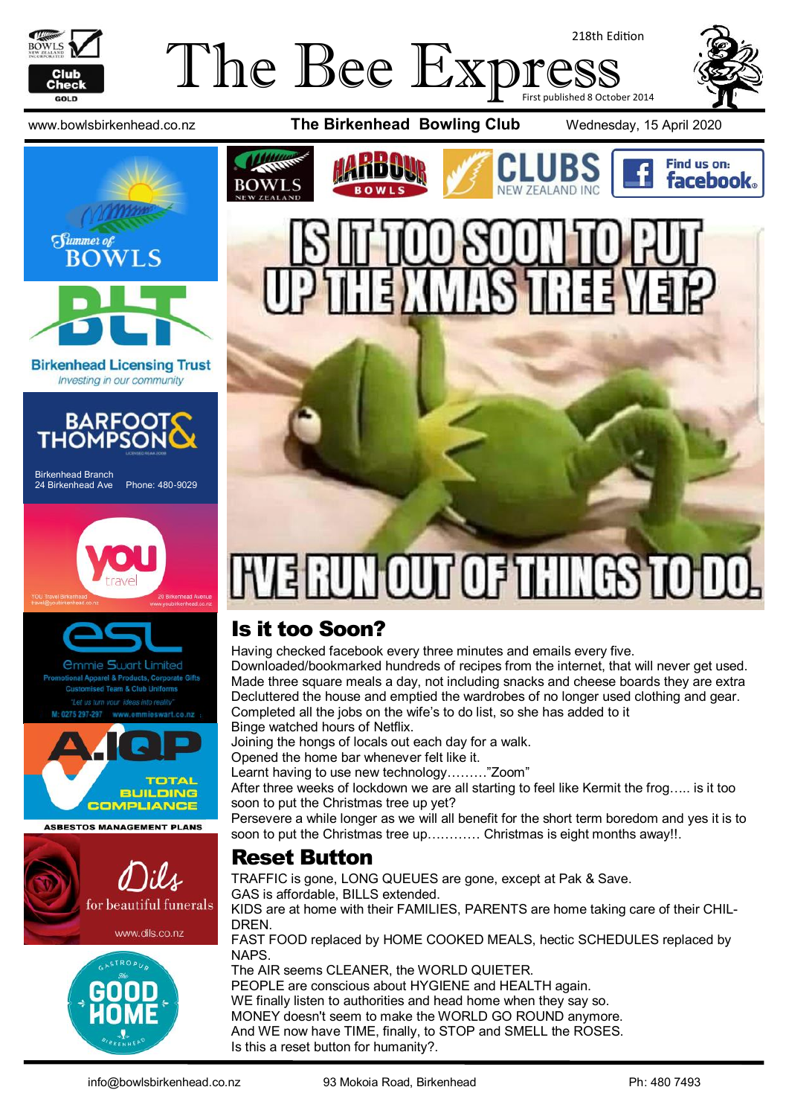

### The Bee Exp 218th Edition First published 8 October 2014



**Birkenhead Licensing Trust** Investing in our community



Birkenhead Branch 24 Birkenhead Ave Phone: 480-9029





mmie Swart Limited rel & Products, Corporate Gifts



**ASBESTOS MANAGEMENT PLANS** 











# UN OUT OF THINGS TO DO

# Is it too Soon?

Having checked facebook every three minutes and emails every five. Downloaded/bookmarked hundreds of recipes from the internet, that will never get used. Made three square meals a day, not including snacks and cheese boards they are extra Decluttered the house and emptied the wardrobes of no longer used clothing and gear. Completed all the jobs on the wife's to do list, so she has added to it Binge watched hours of Netflix.

Joining the hongs of locals out each day for a walk.

Opened the home bar whenever felt like it.

Learnt having to use new technology………"Zoom"

After three weeks of lockdown we are all starting to feel like Kermit the frog….. is it too soon to put the Christmas tree up yet?

Persevere a while longer as we will all benefit for the short term boredom and yes it is to soon to put the Christmas tree up………… Christmas is eight months away!!.

#### Reset Button

TRAFFIC is gone, LONG QUEUES are gone, except at Pak & Save.

GAS is affordable, BILLS extended.

KIDS are at home with their FAMILIES, PARENTS are home taking care of their CHIL-**DREN** 

FAST FOOD replaced by HOME COOKED MEALS, hectic SCHEDULES replaced by NAPS.

The AIR seems CLEANER, the WORLD QUIETER. PEOPLE are conscious about HYGIENE and HEALTH again. WE finally listen to authorities and head home when they say so. MONEY doesn't seem to make the WORLD GO ROUND anymore. And WE now have TIME, finally, to STOP and SMELL the ROSES. Is this a reset button for humanity?.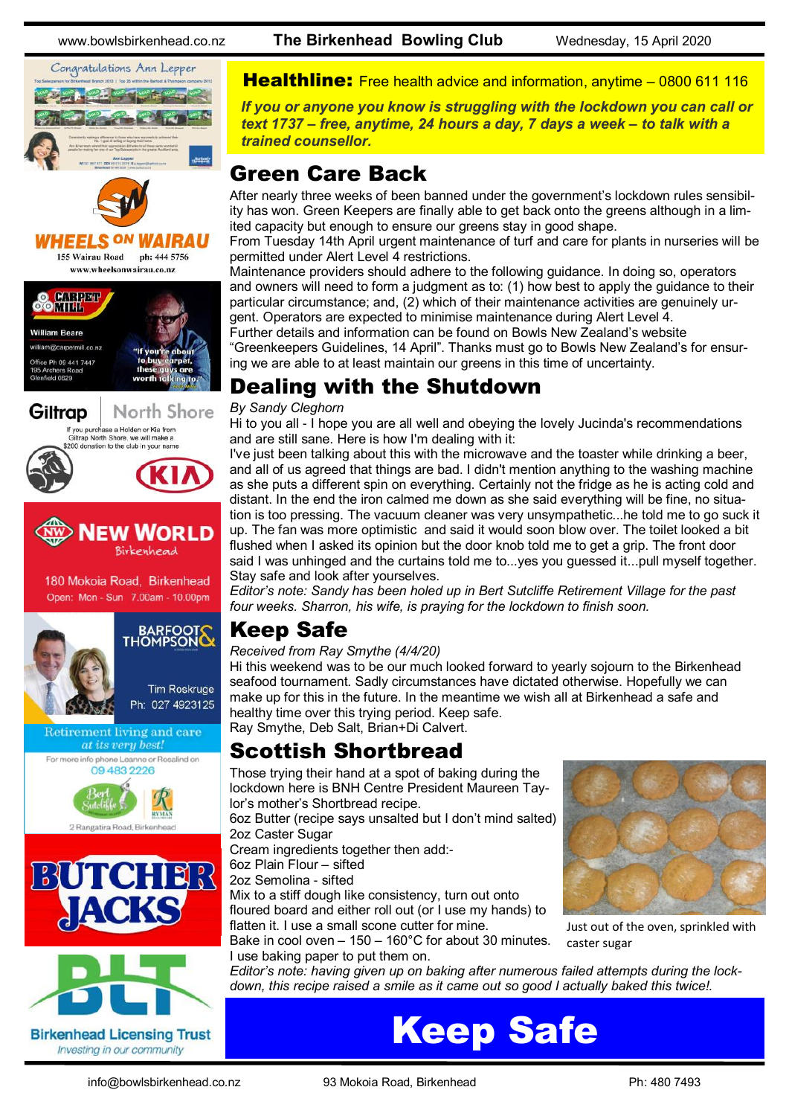Congratulations Ann Lepper



www.wheelsonwairau.co.nz







180 Mokoia Road, Birkenhead Open: Mon - Sun 7.00am - 10.00pm





2 Rangatira Road, Birkenh





www.bowlsbirkenhead.co.nz **The Birkenhead Bowling Club** Wednesday, 15 April 2020

**Healthline:** Free health advice and information, anytime – [0800 611 116](tel:0800611116)

*If you or anyone you know is struggling with the lockdown you can call or text 1737 – free, anytime, 24 hours a day, 7 days a week – to talk with a trained counsellor.*

### Green Care Back

After nearly three weeks of been banned under the government's lockdown rules sensibility has won. Green Keepers are finally able to get back onto the greens although in a limited capacity but enough to ensure our greens stay in good shape.

From Tuesday 14th April urgent maintenance of turf and care for plants in nurseries will be permitted under Alert Level 4 restrictions.

Maintenance providers should adhere to the following guidance. In doing so, operators and owners will need to form a judgment as to: (1) how best to apply the guidance to their particular circumstance; and, (2) which of their maintenance activities are genuinely urgent. Operators are expected to minimise maintenance during Alert Level 4.

Further details and information can be found on Bowls New Zealand's website "Greenkeepers Guidelines, 14 April". Thanks must go to Bowls New Zealand's for ensuring we are able to at least maintain our greens in this time of uncertainty.

# Dealing with the Shutdown

#### *By Sandy Cleghorn*

Hi to you all - I hope you are all well and obeying the lovely Jucinda's recommendations and are still sane. Here is how I'm dealing with it:

I've just been talking about this with the microwave and the toaster while drinking a beer, and all of us agreed that things are bad. I didn't mention anything to the washing machine as she puts a different spin on everything. Certainly not the fridge as he is acting cold and distant. In the end the iron calmed me down as she said everything will be fine, no situation is too pressing. The vacuum cleaner was very unsympathetic...he told me to go suck it up. The fan was more optimistic and said it would soon blow over. The toilet looked a bit flushed when I asked its opinion but the door knob told me to get a grip. The front door said I was unhinged and the curtains told me to...yes you guessed it...pull myself together. Stay safe and look after yourselves.

*Editor's note: Sandy has been holed up in Bert Sutcliffe Retirement Village for the past four weeks. Sharron, his wife, is praying for the lockdown to finish soon.*

# Keep Safe

#### *Received from Ray Smythe (4/4/20)*

Hi this weekend was to be our much looked forward to yearly sojourn to the Birkenhead seafood tournament. Sadly circumstances have dictated otherwise. Hopefully we can make up for this in the future. In the meantime we wish all at Birkenhead a safe and healthy time over this trying period. Keep safe.

Ray Smythe, Deb Salt, Brian+Di Calvert.

### Scottish Shortbread

Those trying their hand at a spot of baking during the lockdown here is BNH Centre President Maureen Taylor's mother's Shortbread recipe.

6oz Butter (recipe says unsalted but I don't mind salted) 2oz Caster Sugar

Cream ingredients together then add:-

6oz Plain Flour – sifted

2oz Semolina - sifted

Mix to a stiff dough like consistency, turn out onto floured board and either roll out (or I use my hands) to flatten it. I use a small scone cutter for mine.

Bake in cool oven – 150 – 160°C for about 30 minutes. I use baking paper to put them on.



Just out of the oven, sprinkled with caster sugar

*Editor's note: having given up on baking after numerous failed attempts during the lockdown, this recipe raised a smile as it came out so good I actually baked this twice!.*

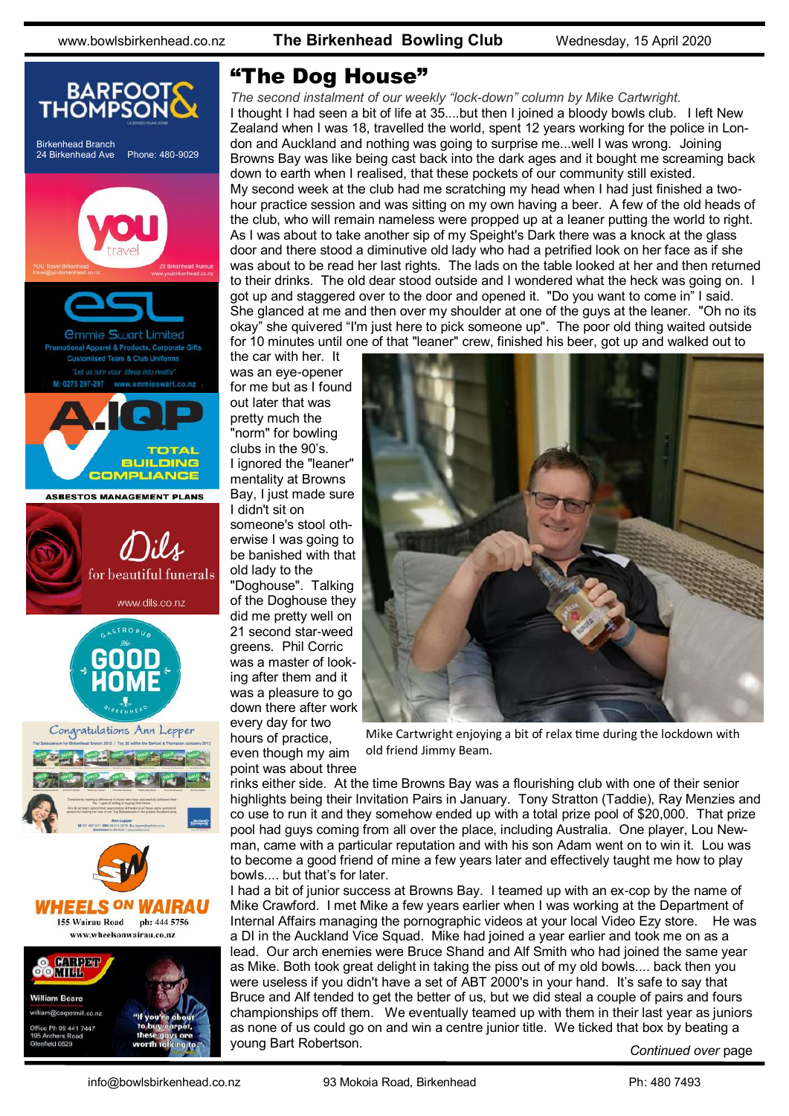

#### "The Dog House"

*The second instalment of our weekly "lock-down" column by Mike Cartwright.*  I thought I had seen a bit of life at 35....but then I joined a bloody bowls club. I left New Zealand when I was 18, travelled the world, spent 12 years working for the police in London and Auckland and nothing was going to surprise me...well I was wrong. Joining Browns Bay was like being cast back into the dark ages and it bought me screaming back down to earth when I realised, that these pockets of our community still existed. My second week at the club had me scratching my head when I had just finished a twohour practice session and was sitting on my own having a beer. A few of the old heads of the club, who will remain nameless were propped up at a leaner putting the world to right. As I was about to take another sip of my Speight's Dark there was a knock at the glass door and there stood a diminutive old lady who had a petrified look on her face as if she was about to be read her last rights. The lads on the table looked at her and then returned to their drinks. The old dear stood outside and I wondered what the heck was going on. I got up and staggered over to the door and opened it. "Do you want to come in" I said. She glanced at me and then over my shoulder at one of the guys at the leaner. "Oh no its okay" she quivered "I'm just here to pick someone up". The poor old thing waited outside for 10 minutes until one of that "leaner" crew, finished his beer, got up and walked out to

the car with her. It was an eye-opener for me but as I found out later that was pretty much the "norm" for bowling clubs in the 90's. I ignored the "leaner" mentality at Browns Bay, I just made sure I didn't sit on someone's stool otherwise I was going to be banished with that old lady to the

"Doghouse". Talking of the Doghouse they did me pretty well on 21 second star-weed greens. Phil Corric was a master of looking after them and it was a pleasure to go down there after work every day for two hours of practice,

even though my aim point was about three



Mike Cartwright enjoying a bit of relax time during the lockdown with old friend Jimmy Beam.

rinks either side. At the time Browns Bay was a flourishing club with one of their senior highlights being their Invitation Pairs in January. Tony Stratton (Taddie), Ray Menzies and co use to run it and they somehow ended up with a total prize pool of \$20,000. That prize pool had guys coming from all over the place, including Australia. One player, Lou Newman, came with a particular reputation and with his son Adam went on to win it. Lou was to become a good friend of mine a few years later and effectively taught me how to play bowls.... but that's for later.

I had a bit of junior success at Browns Bay. I teamed up with an ex-cop by the name of Mike Crawford. I met Mike a few years earlier when I was working at the Department of Internal Affairs managing the pornographic videos at your local Video Ezy store. He was a DI in the Auckland Vice Squad. Mike had joined a year earlier and took me on as a lead. Our arch enemies were Bruce Shand and Alf Smith who had joined the same year as Mike. Both took great delight in taking the piss out of my old bowls.... back then you were useless if you didn't have a set of ABT 2000's in your hand. It's safe to say that Bruce and Alf tended to get the better of us, but we did steal a couple of pairs and fours championships off them. We eventually teamed up with them in their last year as juniors as none of us could go on and win a centre junior title. We ticked that box by beating a young Bart Robertson.